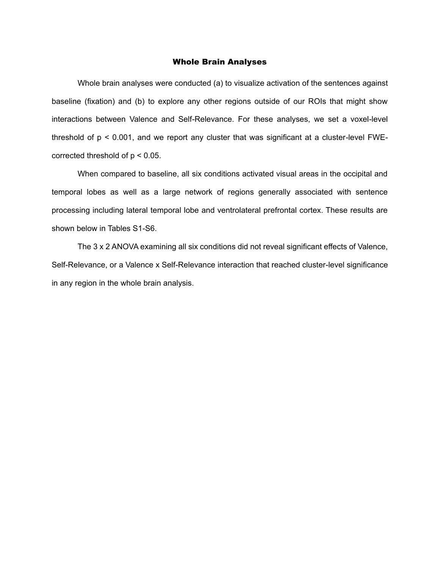## Whole Brain Analyses

Whole brain analyses were conducted (a) to visualize activation of the sentences against baseline (fixation) and (b) to explore any other regions outside of our ROIs that might show interactions between Valence and Self-Relevance. For these analyses, we set a voxel-level threshold of p < 0.001, and we report any cluster that was significant at a cluster-level FWEcorrected threshold of p < 0.05.

When compared to baseline, all six conditions activated visual areas in the occipital and temporal lobes as well as a large network of regions generally associated with sentence processing including lateral temporal lobe and ventrolateral prefrontal cortex. These results are shown below in Tables S1-S6.

The 3 x 2 ANOVA examining all six conditions did not reveal significant effects of Valence, Self-Relevance, or a Valence x Self-Relevance interaction that reached cluster-level significance in any region in the whole brain analysis.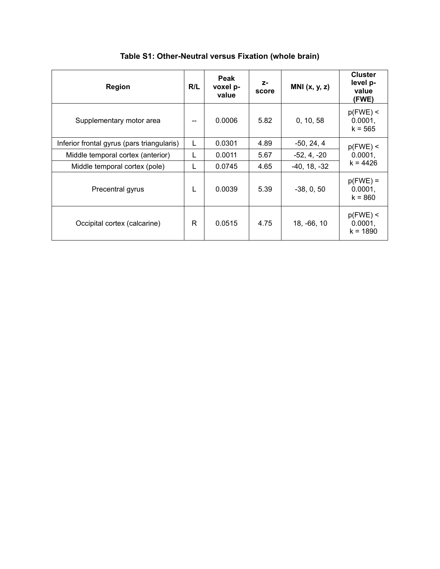| Region                                     | R/L | Peak<br>voxel p-<br>value | $Z-$<br>score | MNI $(x, y, z)$ | <b>Cluster</b><br>level p-<br>value<br>(FWE) |  |
|--------------------------------------------|-----|---------------------------|---------------|-----------------|----------------------------------------------|--|
| Supplementary motor area                   | --  | 0.0006                    | 5.82          | 0, 10, 58       | $p(FWE)$ <<br>0.0001,<br>$k = 565$           |  |
| Inferior frontal gyrus (pars triangularis) | L   | 0.0301                    | 4.89          | $-50, 24, 4$    | $p(FWE)$ <                                   |  |
| Middle temporal cortex (anterior)          | L   | 0.0011                    | 5.67          | $-52, 4, -20$   | 0.0001,                                      |  |
| Middle temporal cortex (pole)              | L   | 0.0745                    | 4.65          | $-40, 18, -32$  | $k = 4426$                                   |  |
| Precentral gyrus                           | L   | 0.0039                    | 5.39          | $-38, 0, 50$    | $p(FWE) =$<br>0.0001,<br>$k = 860$           |  |
| Occipital cortex (calcarine)               | R   | 0.0515                    | 4.75          | 18, -66, 10     | $p(FWE)$ <<br>0.0001,<br>$k = 1890$          |  |

**Table S1: Other-Neutral versus Fixation (whole brain)**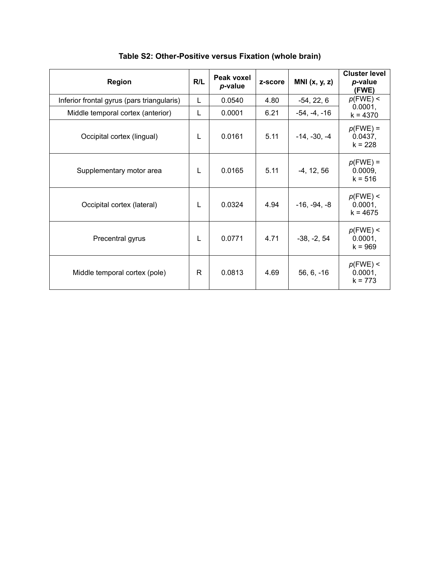| <b>Region</b>                              | R/L | Peak voxel<br>p-value | z-score | MNI $(x, y, z)$ | <b>Cluster level</b><br>p-value<br>(FWE) |
|--------------------------------------------|-----|-----------------------|---------|-----------------|------------------------------------------|
| Inferior frontal gyrus (pars triangularis) | L   | 0.0540                | 4.80    | $-54, 22, 6$    | $p$ (FWE) <                              |
| Middle temporal cortex (anterior)          | L   | 0.0001                | 6.21    | $-54, -4, -16$  | 0.0001,<br>$k = 4370$                    |
| Occipital cortex (lingual)                 | L   | 0.0161                | 5.11    | $-14, -30, -4$  | $p$ (FWE) =<br>0.0437,<br>$k = 228$      |
| Supplementary motor area                   | L   | 0.0165                | 5.11    | $-4, 12, 56$    | $p$ (FWE) =<br>0.0009,<br>$k = 516$      |
| Occipital cortex (lateral)                 | L   | 0.0324                | 4.94    | $-16, -94, -8$  | $p$ (FWE) <<br>0.0001,<br>$k = 4675$     |
| Precentral gyrus                           | L   | 0.0771                | 4.71    | $-38, -2, 54$   | $p$ (FWE) <<br>0.0001,<br>$k = 969$      |
| Middle temporal cortex (pole)              | R   | 0.0813                | 4.69    | $56, 6, -16$    | $p$ (FWE) <<br>0.0001,<br>$k = 773$      |

**Table S2: Other-Positive versus Fixation (whole brain)**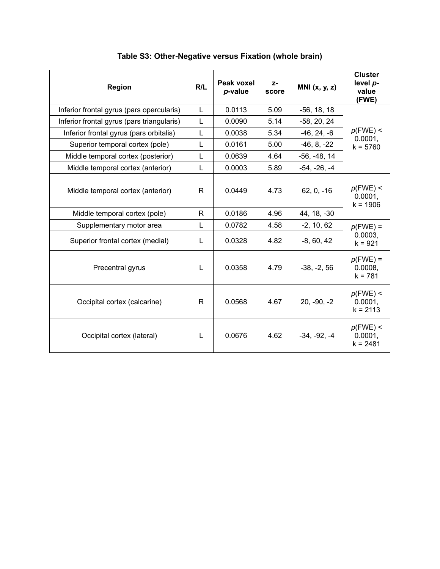| <b>Region</b>                              | R/L          | Peak voxel<br>p-value | $Z-$<br>score | MNI $(x, y, z)$ | <b>Cluster</b><br>level p-<br>value<br>(FWE) |
|--------------------------------------------|--------------|-----------------------|---------------|-----------------|----------------------------------------------|
| Inferior frontal gyrus (pars opercularis)  | L            | 0.0113                | 5.09          | $-56, 18, 18$   |                                              |
| Inferior frontal gyrus (pars triangularis) | L            | 0.0090                | 5.14          | $-58, 20, 24$   |                                              |
| Inferior frontal gyrus (pars orbitalis)    | L            | 0.0038                | 5.34          | $-46, 24, -6$   | $p$ (FWE) <                                  |
| Superior temporal cortex (pole)            | L            | 0.0161                | 5.00          | $-46, 8, -22$   | 0.0001,<br>$k = 5760$                        |
| Middle temporal cortex (posterior)         | $\mathbf{L}$ | 0.0639                | 4.64          | $-56, -48, 14$  |                                              |
| Middle temporal cortex (anterior)          | L            | 0.0003                | 5.89          | $-54, -26, -4$  |                                              |
| Middle temporal cortex (anterior)          | R            | 0.0449                | 4.73          | $62, 0, -16$    | $p$ (FWE) <<br>0.0001,<br>$k = 1906$         |
| Middle temporal cortex (pole)              | R            | 0.0186                | 4.96          | 44, 18, -30     |                                              |
| Supplementary motor area                   | L            | 0.0782                | 4.58          | $-2, 10, 62$    | $p$ (FWE) =                                  |
| Superior frontal cortex (medial)           | L            | 0.0328                | 4.82          | $-8, 60, 42$    | 0.0003,<br>$k = 921$                         |
| Precentral gyrus                           | L            | 0.0358                | 4.79          | $-38, -2, 56$   | $p$ (FWE) =<br>0.0008,<br>$k = 781$          |
| Occipital cortex (calcarine)               | R            | 0.0568                | 4.67          | $20, -90, -2$   | $p$ (FWE) <<br>0.0001,<br>$k = 2113$         |
| Occipital cortex (lateral)                 | L            | 0.0676                | 4.62          | $-34, -92, -4$  | $p$ (FWE) <<br>0.0001,<br>$k = 2481$         |

**Table S3: Other-Negative versus Fixation (whole brain)**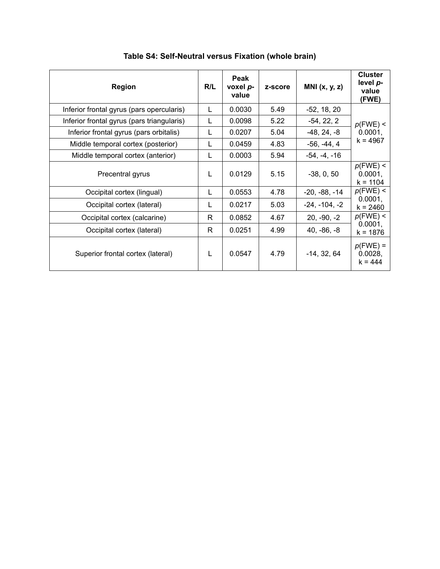| Region                                     | R/L | Peak<br>voxel p-<br>value | z-score | MNI $(x, y, z)$ | <b>Cluster</b><br>level p-<br>value<br>(FWE) |  |
|--------------------------------------------|-----|---------------------------|---------|-----------------|----------------------------------------------|--|
| Inferior frontal gyrus (pars opercularis)  |     | 0.0030                    | 5.49    | $-52, 18, 20$   |                                              |  |
| Inferior frontal gyrus (pars triangularis) | L   | 0.0098                    | 5.22    | $-54, 22, 2$    | $p$ (FWE) <<br>0.0001,<br>k = 4967           |  |
| Inferior frontal gyrus (pars orbitalis)    | L   | 0.0207                    | 5.04    | $-48, 24, -8$   |                                              |  |
| Middle temporal cortex (posterior)         | L   | 0.0459                    | 4.83    | $-56, -44, 4$   |                                              |  |
| Middle temporal cortex (anterior)          | L   | 0.0003                    | 5.94    | $-54, -4, -16$  |                                              |  |
| Precentral gyrus                           | L   | 0.0129                    | 5.15    | $-38, 0, 50$    | $p$ (FWE) <<br>0.0001,<br>$k = 1104$         |  |
| Occipital cortex (lingual)                 | L   | 0.0553                    | 4.78    | $-20, -88, -14$ | $p$ (FWE) <                                  |  |
| Occipital cortex (lateral)                 | L   | 0.0217                    | 5.03    | $-24, -104, -2$ | 0.0001,<br>$k = 2460$                        |  |
| Occipital cortex (calcarine)               | R   | 0.0852                    | 4.67    | $20, -90, -2$   | $p$ (FWE) <                                  |  |
| Occipital cortex (lateral)                 | R.  | 0.0251                    | 4.99    | $40, -86, -8$   | 0.0001,<br>k = 1876                          |  |
| Superior frontal cortex (lateral)          | L   | 0.0547                    | 4.79    | $-14, 32, 64$   | $p$ (FWE) =<br>0.0028,<br>$k = 444$          |  |

**Table S4: Self-Neutral versus Fixation (whole brain)**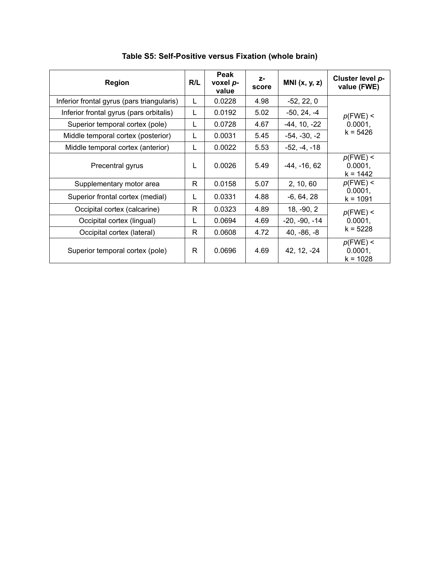| <b>Region</b>                              | R/L | Peak<br>voxel p-<br>value | $Z-$<br>score | MNI $(x, y, z)$ | Cluster level p-<br>value (FWE)      |  |
|--------------------------------------------|-----|---------------------------|---------------|-----------------|--------------------------------------|--|
| Inferior frontal gyrus (pars triangularis) | L   | 0.0228                    | 4.98          | $-52, 22, 0$    |                                      |  |
| Inferior frontal gyrus (pars orbitalis)    | L   | 0.0192                    | 5.02          | $-50, 24, -4$   | $p$ (FWE) <                          |  |
| Superior temporal cortex (pole)            | L   | 0.0728                    | 4.67          | $-44, 10, -22$  | 0.0001,                              |  |
| Middle temporal cortex (posterior)         | L   | 0.0031                    | 5.45          | $-54, -30, -2$  | $k = 5426$                           |  |
| Middle temporal cortex (anterior)          | L   | 0.0022                    | 5.53          | $-52, -4, -18$  |                                      |  |
| Precentral gyrus                           | L   | 0.0026                    | 5.49          | $-44, -16, 62$  | $p$ (FWE) <<br>0.0001,<br>$k = 1442$ |  |
| Supplementary motor area                   | R   | 0.0158                    | 5.07          | 2, 10, 60       | $p$ (FWE) <                          |  |
| Superior frontal cortex (medial)           | L   | 0.0331                    | 4.88          | $-6, 64, 28$    | 0.0001,<br>$k = 1091$                |  |
| Occipital cortex (calcarine)               | R   | 0.0323                    | 4.89          | 18, -90, 2      | $p$ (FWE) <                          |  |
| Occipital cortex (lingual)                 | L   | 0.0694                    | 4.69          | $-20, -90, -14$ | 0.0001,<br>$k = 5228$                |  |
| Occipital cortex (lateral)                 | R   | 0.0608                    | 4.72          | $40, -86, -8$   |                                      |  |
| Superior temporal cortex (pole)            | R   | 0.0696                    | 4.69          | 42, 12, -24     | $p$ (FWE) <<br>0.0001,<br>$k = 1028$ |  |

**Table S5: Self-Positive versus Fixation (whole brain)**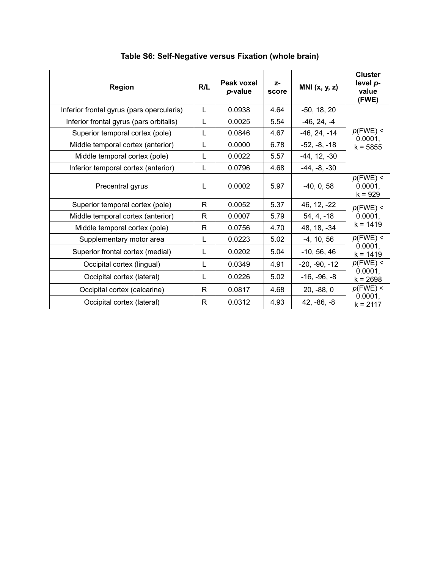| <b>Region</b>                             | R/L | Peak voxel<br>p-value | $Z-$<br>score | MNI $(x, y, z)$ | <b>Cluster</b><br>level p-<br>value<br>(FWE) |
|-------------------------------------------|-----|-----------------------|---------------|-----------------|----------------------------------------------|
| Inferior frontal gyrus (pars opercularis) | L   | 0.0938                | 4.64          | $-50, 18, 20$   |                                              |
| Inferior frontal gyrus (pars orbitalis)   | L   | 0.0025                | 5.54          | $-46, 24, -4$   |                                              |
| Superior temporal cortex (pole)           | L   | 0.0846                | 4.67          | $-46, 24, -14$  | $p$ (FWE) <<br>0.0001,                       |
| Middle temporal cortex (anterior)         | L   | 0.0000                | 6.78          | $-52, -8, -18$  | $k = 5855$                                   |
| Middle temporal cortex (pole)             | L   | 0.0022                | 5.57          | $-44, 12, -30$  |                                              |
| Inferior temporal cortex (anterior)       | L   | 0.0796                | 4.68          | $-44, -8, -30$  |                                              |
| Precentral gyrus                          | L   | 0.0002                | 5.97          | $-40, 0, 58$    | $p$ (FWE) <<br>0.0001,<br>$k = 929$          |
| Superior temporal cortex (pole)           | R.  | 0.0052                | 5.37          | 46, 12, -22     | $p$ (FWE) <                                  |
| Middle temporal cortex (anterior)         | R.  | 0.0007                | 5.79          | $54, 4, -18$    | 0.0001,                                      |
| Middle temporal cortex (pole)             | R   | 0.0756                | 4.70          | 48, 18, -34     | $k = 1419$                                   |
| Supplementary motor area                  | L   | 0.0223                | 5.02          | $-4, 10, 56$    | $p$ (FWE) <                                  |
| Superior frontal cortex (medial)          | L   | 0.0202                | 5.04          | $-10, 56, 46$   | 0.0001,<br>$k = 1419$                        |
| Occipital cortex (lingual)                | L   | 0.0349                | 4.91          | $-20, -90, -12$ | $p$ (FWE) <                                  |
| Occipital cortex (lateral)                | L   | 0.0226                | 5.02          | $-16, -96, -8$  | 0.0001,<br>$k = 2698$                        |
| Occipital cortex (calcarine)              | R   | 0.0817                | 4.68          | $20, -88, 0$    | $p$ (FWE) <                                  |
| Occipital cortex (lateral)                | R.  | 0.0312                | 4.93          | $42, -86, -8$   | 0.0001,<br>$k = 2117$                        |

**Table S6: Self-Negative versus Fixation (whole brain)**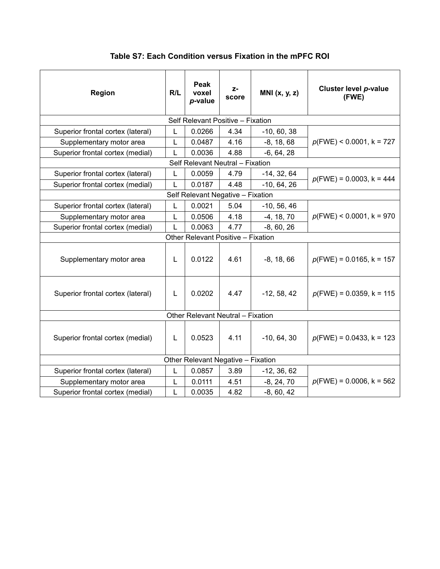| <b>Region</b>                     | R/L | Peak<br>voxel<br>p-value           | $Z-$<br>score | MNI $(x, y, z)$ | Cluster level p-value<br>(FWE) |
|-----------------------------------|-----|------------------------------------|---------------|-----------------|--------------------------------|
|                                   |     | Self Relevant Positive - Fixation  |               |                 |                                |
| Superior frontal cortex (lateral) | L   | 0.0266                             | 4.34          | $-10, 60, 38$   |                                |
| Supplementary motor area          | L   | 0.0487                             | 4.16          | $-8, 18, 68$    | $p(FWE)$ < 0.0001, k = 727     |
| Superior frontal cortex (medial)  | L   | 0.0036                             | 4.88          | $-6, 64, 28$    |                                |
|                                   |     | Self Relevant Neutral - Fixation   |               |                 |                                |
| Superior frontal cortex (lateral) | L   | 0.0059                             | 4.79          | $-14, 32, 64$   | $p(FWE) = 0.0003$ , k = 444    |
| Superior frontal cortex (medial)  | L   | 0.0187                             | 4.48          | $-10, 64, 26$   |                                |
|                                   |     | Self Relevant Negative - Fixation  |               |                 |                                |
| Superior frontal cortex (lateral) | L   | 0.0021                             | 5.04          | $-10, 56, 46$   |                                |
| Supplementary motor area          | L   | 0.0506                             | 4.18          | $-4, 18, 70$    | $p(FWE)$ < 0.0001, k = 970     |
| Superior frontal cortex (medial)  | L   | 0.0063                             | 4.77          | $-8, 60, 26$    |                                |
|                                   |     | Other Relevant Positive - Fixation |               |                 |                                |
| Supplementary motor area          | L   | 0.0122                             | 4.61          | $-8, 18, 66$    | $p(FWE) = 0.0165$ , k = 157    |
| Superior frontal cortex (lateral) | L   | 0.0202                             | 4.47          | $-12, 58, 42$   | $p(FWE) = 0.0359$ , k = 115    |
|                                   |     | Other Relevant Neutral - Fixation  |               |                 |                                |
| Superior frontal cortex (medial)  | L   | 0.0523                             | 4.11          | $-10, 64, 30$   | $p(FWE) = 0.0433$ , k = 123    |
|                                   |     | Other Relevant Negative - Fixation |               |                 |                                |
| Superior frontal cortex (lateral) | L   | 0.0857                             | 3.89          | $-12, 36, 62$   |                                |
| Supplementary motor area          | L   | 0.0111                             | 4.51          | $-8, 24, 70$    | $p(FWE) = 0.0006$ , k = 562    |
| Superior frontal cortex (medial)  | L   | 0.0035                             | 4.82          | $-8, 60, 42$    |                                |

**Table S7: Each Condition versus Fixation in the mPFC ROI**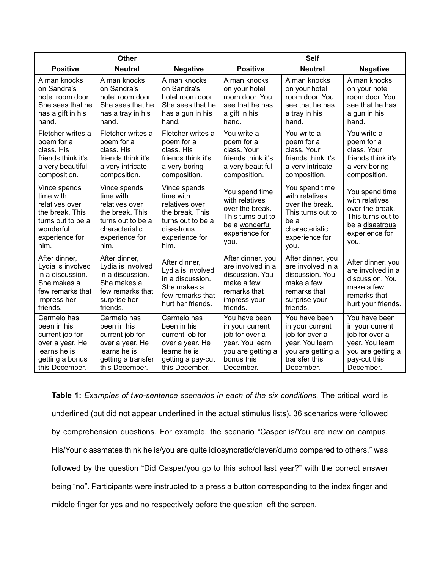|                                                                                                                            | <b>Other</b>                                                                                                                    |                                                                                                                             |                                                                                                                       | <b>Self</b>                                                                                                                  |                                                                                                                         |
|----------------------------------------------------------------------------------------------------------------------------|---------------------------------------------------------------------------------------------------------------------------------|-----------------------------------------------------------------------------------------------------------------------------|-----------------------------------------------------------------------------------------------------------------------|------------------------------------------------------------------------------------------------------------------------------|-------------------------------------------------------------------------------------------------------------------------|
| <b>Positive</b>                                                                                                            | <b>Neutral</b>                                                                                                                  | <b>Negative</b>                                                                                                             | <b>Positive</b>                                                                                                       | <b>Neutral</b>                                                                                                               | <b>Negative</b>                                                                                                         |
| A man knocks<br>on Sandra's<br>hotel room door.<br>She sees that he<br>has a gift in his<br>hand.                          | A man knocks<br>on Sandra's<br>hotel room door.<br>She sees that he<br>has a tray in his<br>hand.                               | A man knocks<br>on Sandra's<br>hotel room door.<br>She sees that he<br>has a gun in his<br>hand.                            | A man knocks<br>on your hotel<br>room door. You<br>see that he has<br>a gift in his<br>hand.                          | A man knocks<br>on your hotel<br>room door. You<br>see that he has<br>a tray in his<br>hand.                                 | A man knocks<br>on your hotel<br>room door. You<br>see that he has<br>a gun in his<br>hand.                             |
| Fletcher writes a<br>poem for a<br>class. His<br>friends think it's<br>a very beautiful<br>composition.                    | Fletcher writes a<br>poem for a<br>class. His<br>friends think it's<br>a very intricate<br>composition.                         | Fletcher writes a<br>poem for a<br>class. His<br>friends think it's<br>a very boring<br>composition.                        | You write a<br>poem for a<br>class. Your<br>friends think it's<br>a very beautiful<br>composition.                    | You write a<br>poem for a<br>class. Your<br>friends think it's<br>a very intricate<br>composition.                           | You write a<br>poem for a<br>class. Your<br>friends think it's<br>a very boring<br>composition.                         |
| Vince spends<br>time with<br>relatives over<br>the break. This<br>turns out to be a<br>wonderful<br>experience for<br>him. | Vince spends<br>time with<br>relatives over<br>the break. This<br>turns out to be a<br>characteristic<br>experience for<br>him. | Vince spends<br>time with<br>relatives over<br>the break. This<br>turns out to be a<br>disastrous<br>experience for<br>him. | You spend time<br>with relatives<br>over the break.<br>This turns out to<br>be a wonderful<br>experience for<br>you.  | You spend time<br>with relatives<br>over the break.<br>This turns out to<br>be a<br>characteristic<br>experience for<br>you. | You spend time<br>with relatives<br>over the break.<br>This turns out to<br>be a disastrous<br>experience for<br>you.   |
| After dinner,<br>Lydia is involved<br>in a discussion.<br>She makes a<br>few remarks that<br>impress her<br>friends.       | After dinner,<br>Lydia is involved<br>in a discussion.<br>She makes a<br>few remarks that<br>surprise her<br>friends.           | After dinner,<br>Lydia is involved<br>in a discussion.<br>She makes a<br>few remarks that<br>hurt her friends.              | After dinner, you<br>are involved in a<br>discussion. You<br>make a few<br>remarks that<br>impress your<br>friends.   | After dinner, you<br>are involved in a<br>discussion. You<br>make a few<br>remarks that<br>surprise your<br>friends.         | After dinner, you<br>are involved in a<br>discussion. You<br>make a few<br>remarks that<br>hurt your friends.           |
| Carmelo has<br>been in his<br>current job for<br>over a year. He<br>learns he is<br>getting a bonus<br>this December.      | Carmelo has<br>been in his<br>current job for<br>over a year. He<br>learns he is<br>getting a transfer<br>this December.        | Carmelo has<br>been in his<br>current job for<br>over a year. He<br>learns he is<br>getting a pay-cut<br>this December.     | You have been<br>in your current<br>job for over a<br>year. You learn<br>you are getting a<br>bonus this<br>December. | You have been<br>in your current<br>job for over a<br>year. You learn<br>you are getting a<br>transfer this<br>December.     | You have been<br>in your current<br>job for over a<br>year. You learn<br>you are getting a<br>pay-cut this<br>December. |

**Table 1:** *Examples of two-sentence scenarios in each of the six conditions.* The critical word is underlined (but did not appear underlined in the actual stimulus lists). 36 scenarios were followed by comprehension questions. For example, the scenario "Casper is/You are new on campus. His/Your classmates think he is/you are quite idiosyncratic/clever/dumb compared to others." was followed by the question "Did Casper/you go to this school last year?" with the correct answer being "no". Participants were instructed to a press a button corresponding to the index finger and middle finger for yes and no respectively before the question left the screen.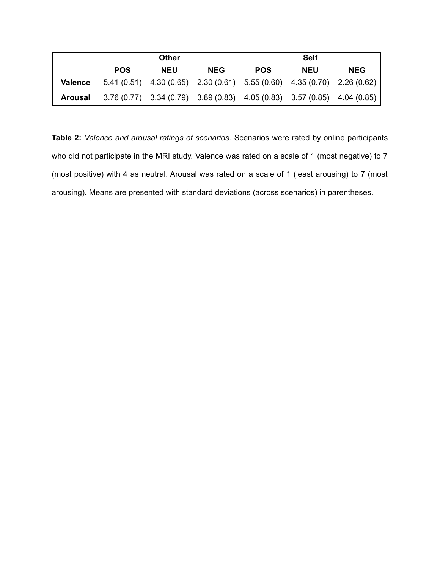|                |            | <b>Other</b>                                                                  | <b>Self</b> |            |            |            |
|----------------|------------|-------------------------------------------------------------------------------|-------------|------------|------------|------------|
|                | <b>POS</b> | <b>NEU</b>                                                                    | <b>NEG</b>  | <b>POS</b> | <b>NEU</b> | <b>NEG</b> |
| <b>Valence</b> |            | $5.41(0.51)$ $4.30(0.65)$ $2.30(0.61)$ $5.55(0.60)$ $4.35(0.70)$ $2.26(0.62)$ |             |            |            |            |
| Arousal        |            | $3.76(0.77)$ $3.34(0.79)$ $3.89(0.83)$ $4.05(0.83)$ $3.57(0.85)$ $4.04(0.85)$ |             |            |            |            |

**Table 2:** *Valence and arousal ratings of scenarios.* Scenarios were rated by online participants who did not participate in the MRI study. Valence was rated on a scale of 1 (most negative) to 7 (most positive) with 4 as neutral. Arousal was rated on a scale of 1 (least arousing) to 7 (most arousing). Means are presented with standard deviations (across scenarios) in parentheses.